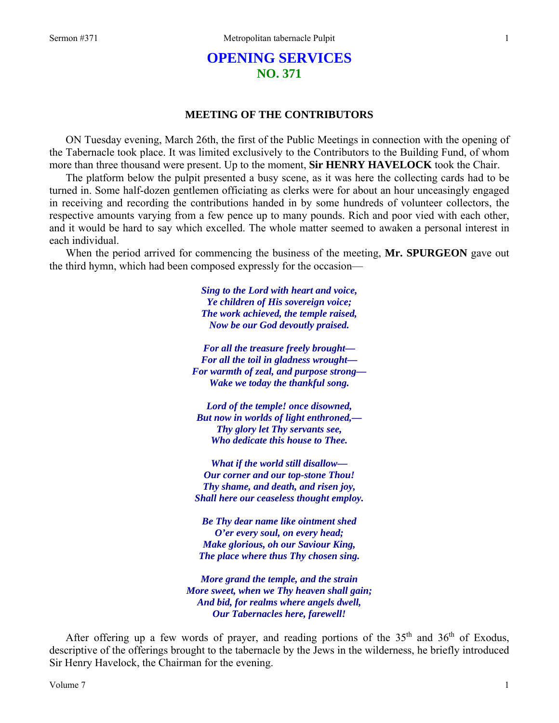# **OPENING SERVICES NO. 371**

# **MEETING OF THE CONTRIBUTORS**

ON Tuesday evening, March 26th, the first of the Public Meetings in connection with the opening of the Tabernacle took place. It was limited exclusively to the Contributors to the Building Fund, of whom more than three thousand were present. Up to the moment, **Sir HENRY HAVELOCK** took the Chair.

The platform below the pulpit presented a busy scene, as it was here the collecting cards had to be turned in. Some half-dozen gentlemen officiating as clerks were for about an hour unceasingly engaged in receiving and recording the contributions handed in by some hundreds of volunteer collectors, the respective amounts varying from a few pence up to many pounds. Rich and poor vied with each other, and it would be hard to say which excelled. The whole matter seemed to awaken a personal interest in each individual.

When the period arrived for commencing the business of the meeting, **Mr. SPURGEON** gave out the third hymn, which had been composed expressly for the occasion—

> *Sing to the Lord with heart and voice, Ye children of His sovereign voice; The work achieved, the temple raised, Now be our God devoutly praised.*

*For all the treasure freely brought— For all the toil in gladness wrought— For warmth of zeal, and purpose strong— Wake we today the thankful song.* 

*Lord of the temple! once disowned, But now in worlds of light enthroned,— Thy glory let Thy servants see, Who dedicate this house to Thee.* 

*What if the world still disallow— Our corner and our top-stone Thou! Thy shame, and death, and risen joy, Shall here our ceaseless thought employ.* 

*Be Thy dear name like ointment shed O'er every soul, on every head; Make glorious, oh our Saviour King, The place where thus Thy chosen sing.* 

*More grand the temple, and the strain More sweet, when we Thy heaven shall gain; And bid, for realms where angels dwell, Our Tabernacles here, farewell!* 

After offering up a few words of prayer, and reading portions of the  $35<sup>th</sup>$  and  $36<sup>th</sup>$  of Exodus, descriptive of the offerings brought to the tabernacle by the Jews in the wilderness, he briefly introduced Sir Henry Havelock, the Chairman for the evening.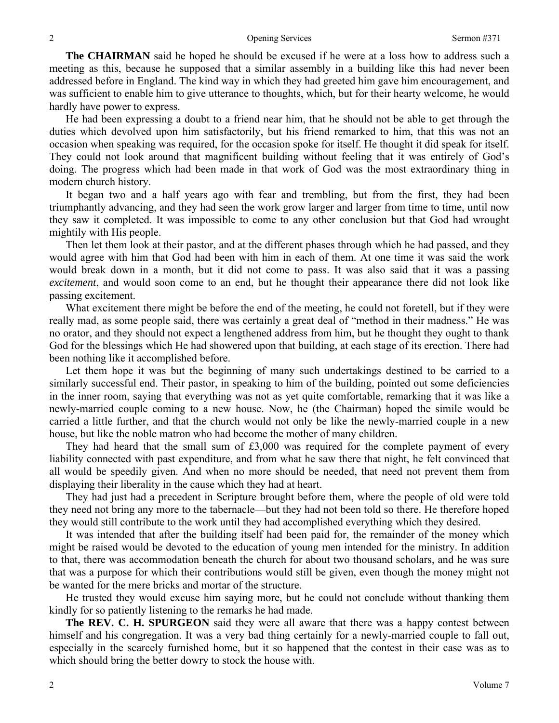**The CHAIRMAN** said he hoped he should be excused if he were at a loss how to address such a meeting as this, because he supposed that a similar assembly in a building like this had never been addressed before in England. The kind way in which they had greeted him gave him encouragement, and was sufficient to enable him to give utterance to thoughts, which, but for their hearty welcome, he would hardly have power to express.

He had been expressing a doubt to a friend near him, that he should not be able to get through the duties which devolved upon him satisfactorily, but his friend remarked to him, that this was not an occasion when speaking was required, for the occasion spoke for itself. He thought it did speak for itself. They could not look around that magnificent building without feeling that it was entirely of God's doing. The progress which had been made in that work of God was the most extraordinary thing in modern church history.

It began two and a half years ago with fear and trembling, but from the first, they had been triumphantly advancing, and they had seen the work grow larger and larger from time to time, until now they saw it completed. It was impossible to come to any other conclusion but that God had wrought mightily with His people.

Then let them look at their pastor, and at the different phases through which he had passed, and they would agree with him that God had been with him in each of them. At one time it was said the work would break down in a month, but it did not come to pass. It was also said that it was a passing *excitement*, and would soon come to an end, but he thought their appearance there did not look like passing excitement.

What excitement there might be before the end of the meeting, he could not foretell, but if they were really mad, as some people said, there was certainly a great deal of "method in their madness." He was no orator, and they should not expect a lengthened address from him, but he thought they ought to thank God for the blessings which He had showered upon that building, at each stage of its erection. There had been nothing like it accomplished before.

Let them hope it was but the beginning of many such undertakings destined to be carried to a similarly successful end. Their pastor, in speaking to him of the building, pointed out some deficiencies in the inner room, saying that everything was not as yet quite comfortable, remarking that it was like a newly-married couple coming to a new house. Now, he (the Chairman) hoped the simile would be carried a little further, and that the church would not only be like the newly-married couple in a new house, but like the noble matron who had become the mother of many children.

They had heard that the small sum of  $£3,000$  was required for the complete payment of every liability connected with past expenditure, and from what he saw there that night, he felt convinced that all would be speedily given. And when no more should be needed, that need not prevent them from displaying their liberality in the cause which they had at heart.

They had just had a precedent in Scripture brought before them, where the people of old were told they need not bring any more to the tabernacle—but they had not been told so there. He therefore hoped they would still contribute to the work until they had accomplished everything which they desired.

It was intended that after the building itself had been paid for, the remainder of the money which might be raised would be devoted to the education of young men intended for the ministry. In addition to that, there was accommodation beneath the church for about two thousand scholars, and he was sure that was a purpose for which their contributions would still be given, even though the money might not be wanted for the mere bricks and mortar of the structure.

He trusted they would excuse him saying more, but he could not conclude without thanking them kindly for so patiently listening to the remarks he had made.

**The REV. C. H. SPURGEON** said they were all aware that there was a happy contest between himself and his congregation. It was a very bad thing certainly for a newly-married couple to fall out, especially in the scarcely furnished home, but it so happened that the contest in their case was as to which should bring the better dowry to stock the house with.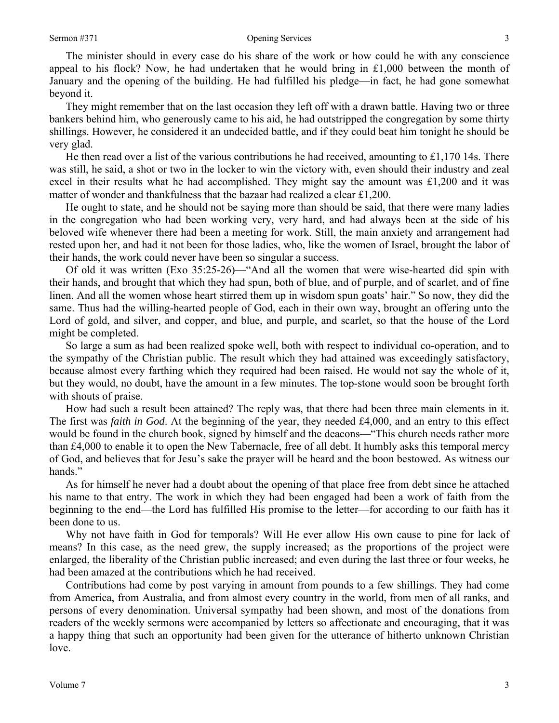The minister should in every case do his share of the work or how could he with any conscience appeal to his flock? Now, he had undertaken that he would bring in  $£1,000$  between the month of January and the opening of the building. He had fulfilled his pledge—in fact, he had gone somewhat beyond it.

They might remember that on the last occasion they left off with a drawn battle. Having two or three bankers behind him, who generously came to his aid, he had outstripped the congregation by some thirty shillings. However, he considered it an undecided battle, and if they could beat him tonight he should be very glad.

He then read over a list of the various contributions he had received, amounting to  $\pounds1,170$  14s. There was still, he said, a shot or two in the locker to win the victory with, even should their industry and zeal excel in their results what he had accomplished. They might say the amount was £1,200 and it was matter of wonder and thankfulness that the bazaar had realized a clear £1,200.

He ought to state, and he should not be saying more than should be said, that there were many ladies in the congregation who had been working very, very hard, and had always been at the side of his beloved wife whenever there had been a meeting for work. Still, the main anxiety and arrangement had rested upon her, and had it not been for those ladies, who, like the women of Israel, brought the labor of their hands, the work could never have been so singular a success.

Of old it was written (Exo 35:25-26)—"And all the women that were wise-hearted did spin with their hands, and brought that which they had spun, both of blue, and of purple, and of scarlet, and of fine linen. And all the women whose heart stirred them up in wisdom spun goats' hair." So now, they did the same. Thus had the willing-hearted people of God, each in their own way, brought an offering unto the Lord of gold, and silver, and copper, and blue, and purple, and scarlet, so that the house of the Lord might be completed.

So large a sum as had been realized spoke well, both with respect to individual co-operation, and to the sympathy of the Christian public. The result which they had attained was exceedingly satisfactory, because almost every farthing which they required had been raised. He would not say the whole of it, but they would, no doubt, have the amount in a few minutes. The top-stone would soon be brought forth with shouts of praise.

How had such a result been attained? The reply was, that there had been three main elements in it. The first was *faith in God*. At the beginning of the year, they needed £4,000, and an entry to this effect would be found in the church book, signed by himself and the deacons—"This church needs rather more than £4,000 to enable it to open the New Tabernacle, free of all debt. It humbly asks this temporal mercy of God, and believes that for Jesu's sake the prayer will be heard and the boon bestowed. As witness our hands."

As for himself he never had a doubt about the opening of that place free from debt since he attached his name to that entry. The work in which they had been engaged had been a work of faith from the beginning to the end—the Lord has fulfilled His promise to the letter—for according to our faith has it been done to us.

Why not have faith in God for temporals? Will He ever allow His own cause to pine for lack of means? In this case, as the need grew, the supply increased; as the proportions of the project were enlarged, the liberality of the Christian public increased; and even during the last three or four weeks, he had been amazed at the contributions which he had received.

Contributions had come by post varying in amount from pounds to a few shillings. They had come from America, from Australia, and from almost every country in the world, from men of all ranks, and persons of every denomination. Universal sympathy had been shown, and most of the donations from readers of the weekly sermons were accompanied by letters so affectionate and encouraging, that it was a happy thing that such an opportunity had been given for the utterance of hitherto unknown Christian love.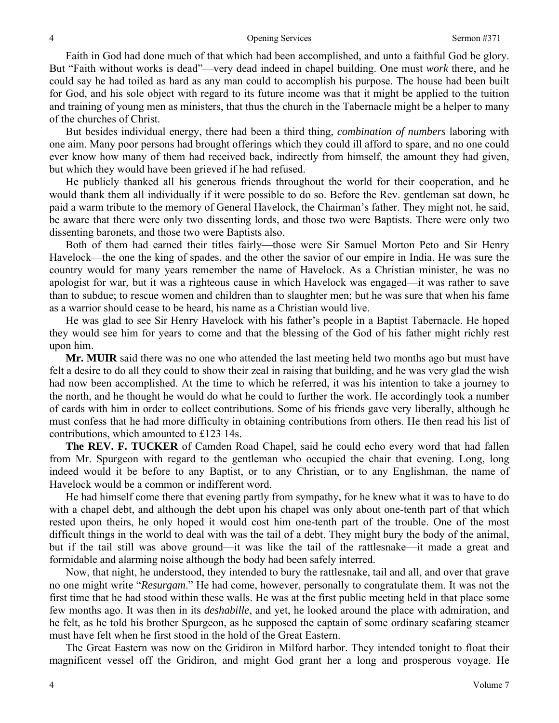### Opening Services Sermon #371

Faith in God had done much of that which had been accomplished, and unto a faithful God be glory. But "Faith without works is dead"—very dead indeed in chapel building. One must *work* there, and he could say he had toiled as hard as any man could to accomplish his purpose. The house had been built for God, and his sole object with regard to its future income was that it might be applied to the tuition and training of young men as ministers, that thus the church in the Tabernacle might be a helper to many of the churches of Christ.

But besides individual energy, there had been a third thing, *combination of numbers* laboring with one aim. Many poor persons had brought offerings which they could ill afford to spare, and no one could ever know how many of them had received back, indirectly from himself, the amount they had given, but which they would have been grieved if he had refused.

He publicly thanked all his generous friends throughout the world for their cooperation, and he would thank them all individually if it were possible to do so. Before the Rev. gentleman sat down, he paid a warm tribute to the memory of General Havelock, the Chairman's father. They might not, he said, be aware that there were only two dissenting lords, and those two were Baptists. There were only two dissenting baronets, and those two were Baptists also.

Both of them had earned their titles fairly—those were Sir Samuel Morton Peto and Sir Henry Havelock—the one the king of spades, and the other the savior of our empire in India. He was sure the country would for many years remember the name of Havelock. As a Christian minister, he was no apologist for war, but it was a righteous cause in which Havelock was engaged—it was rather to save than to subdue; to rescue women and children than to slaughter men; but he was sure that when his fame as a warrior should cease to be heard, his name as a Christian would live.

He was glad to see Sir Henry Havelock with his father's people in a Baptist Tabernacle. He hoped they would see him for years to come and that the blessing of the God of his father might richly rest upon him.

**Mr. MUIR** said there was no one who attended the last meeting held two months ago but must have felt a desire to do all they could to show their zeal in raising that building, and he was very glad the wish had now been accomplished. At the time to which he referred, it was his intention to take a journey to the north, and he thought he would do what he could to further the work. He accordingly took a number of cards with him in order to collect contributions. Some of his friends gave very liberally, although he must confess that he had more difficulty in obtaining contributions from others. He then read his list of contributions, which amounted to £123 14s.

**The REV. F. TUCKER** of Camden Road Chapel, said he could echo every word that had fallen from Mr. Spurgeon with regard to the gentleman who occupied the chair that evening. Long, long indeed would it be before to any Baptist, or to any Christian, or to any Englishman, the name of Havelock would be a common or indifferent word.

He had himself come there that evening partly from sympathy, for he knew what it was to have to do with a chapel debt, and although the debt upon his chapel was only about one-tenth part of that which rested upon theirs, he only hoped it would cost him one-tenth part of the trouble. One of the most difficult things in the world to deal with was the tail of a debt. They might bury the body of the animal, but if the tail still was above ground—it was like the tail of the rattlesnake—it made a great and formidable and alarming noise although the body had been safely interred.

Now, that night, he understood, they intended to bury the rattlesnake, tail and all, and over that grave no one might write "*Resurgam*." He had come, however, personally to congratulate them. It was not the first time that he had stood within these walls. He was at the first public meeting held in that place some few months ago. It was then in its *deshabille*, and yet, he looked around the place with admiration, and he felt, as he told his brother Spurgeon, as he supposed the captain of some ordinary seafaring steamer must have felt when he first stood in the hold of the Great Eastern.

The Great Eastern was now on the Gridiron in Milford harbor. They intended tonight to float their magnificent vessel off the Gridiron, and might God grant her a long and prosperous voyage. He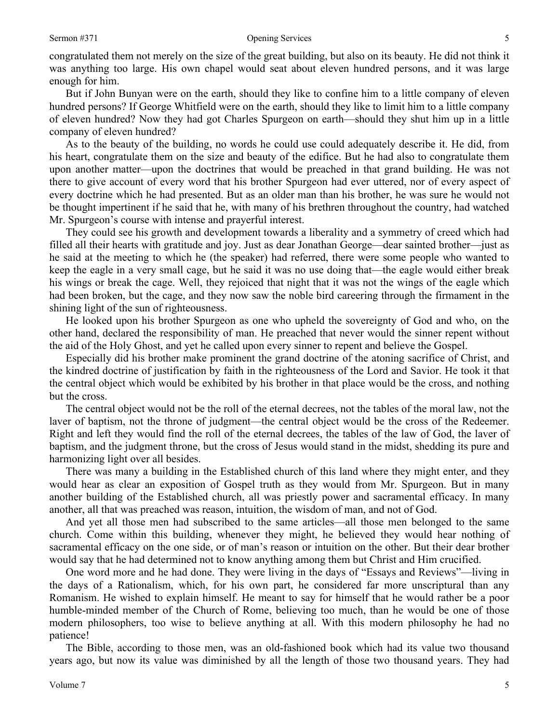# Sermon #371 Opening Services

congratulated them not merely on the size of the great building, but also on its beauty. He did not think it was anything too large. His own chapel would seat about eleven hundred persons, and it was large enough for him.

But if John Bunyan were on the earth, should they like to confine him to a little company of eleven hundred persons? If George Whitfield were on the earth, should they like to limit him to a little company of eleven hundred? Now they had got Charles Spurgeon on earth—should they shut him up in a little company of eleven hundred?

As to the beauty of the building, no words he could use could adequately describe it. He did, from his heart, congratulate them on the size and beauty of the edifice. But he had also to congratulate them upon another matter—upon the doctrines that would be preached in that grand building. He was not there to give account of every word that his brother Spurgeon had ever uttered, nor of every aspect of every doctrine which he had presented. But as an older man than his brother, he was sure he would not be thought impertinent if he said that he, with many of his brethren throughout the country, had watched Mr. Spurgeon's course with intense and prayerful interest.

They could see his growth and development towards a liberality and a symmetry of creed which had filled all their hearts with gratitude and joy. Just as dear Jonathan George—dear sainted brother—just as he said at the meeting to which he (the speaker) had referred, there were some people who wanted to keep the eagle in a very small cage, but he said it was no use doing that—the eagle would either break his wings or break the cage. Well, they rejoiced that night that it was not the wings of the eagle which had been broken, but the cage, and they now saw the noble bird careering through the firmament in the shining light of the sun of righteousness.

He looked upon his brother Spurgeon as one who upheld the sovereignty of God and who, on the other hand, declared the responsibility of man. He preached that never would the sinner repent without the aid of the Holy Ghost, and yet he called upon every sinner to repent and believe the Gospel.

Especially did his brother make prominent the grand doctrine of the atoning sacrifice of Christ, and the kindred doctrine of justification by faith in the righteousness of the Lord and Savior. He took it that the central object which would be exhibited by his brother in that place would be the cross, and nothing but the cross.

The central object would not be the roll of the eternal decrees, not the tables of the moral law, not the laver of baptism, not the throne of judgment—the central object would be the cross of the Redeemer. Right and left they would find the roll of the eternal decrees, the tables of the law of God, the laver of baptism, and the judgment throne, but the cross of Jesus would stand in the midst, shedding its pure and harmonizing light over all besides.

There was many a building in the Established church of this land where they might enter, and they would hear as clear an exposition of Gospel truth as they would from Mr. Spurgeon. But in many another building of the Established church, all was priestly power and sacramental efficacy. In many another, all that was preached was reason, intuition, the wisdom of man, and not of God.

And yet all those men had subscribed to the same articles—all those men belonged to the same church. Come within this building, whenever they might, he believed they would hear nothing of sacramental efficacy on the one side, or of man's reason or intuition on the other. But their dear brother would say that he had determined not to know anything among them but Christ and Him crucified.

One word more and he had done. They were living in the days of "Essays and Reviews"—living in the days of a Rationalism, which, for his own part, he considered far more unscriptural than any Romanism. He wished to explain himself. He meant to say for himself that he would rather be a poor humble-minded member of the Church of Rome, believing too much, than he would be one of those modern philosophers, too wise to believe anything at all. With this modern philosophy he had no patience!

The Bible, according to those men, was an old-fashioned book which had its value two thousand years ago, but now its value was diminished by all the length of those two thousand years. They had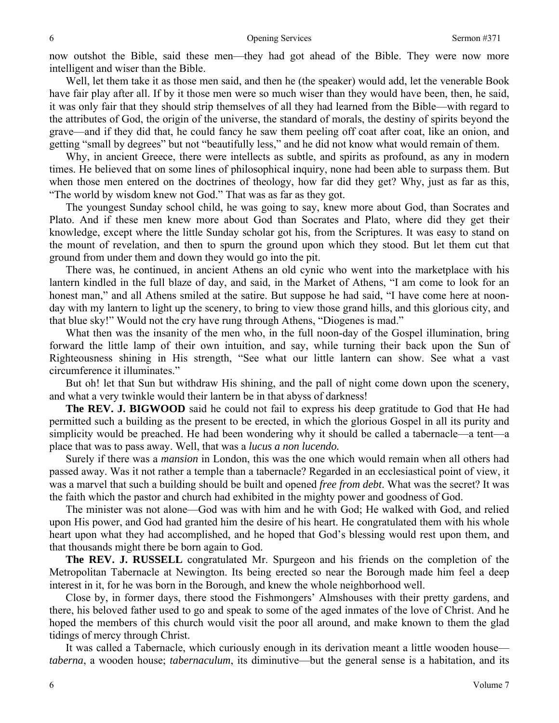now outshot the Bible, said these men—they had got ahead of the Bible. They were now more intelligent and wiser than the Bible.

Well, let them take it as those men said, and then he (the speaker) would add, let the venerable Book have fair play after all. If by it those men were so much wiser than they would have been, then, he said, it was only fair that they should strip themselves of all they had learned from the Bible—with regard to the attributes of God, the origin of the universe, the standard of morals, the destiny of spirits beyond the grave—and if they did that, he could fancy he saw them peeling off coat after coat, like an onion, and getting "small by degrees" but not "beautifully less," and he did not know what would remain of them.

Why, in ancient Greece, there were intellects as subtle, and spirits as profound, as any in modern times. He believed that on some lines of philosophical inquiry, none had been able to surpass them. But when those men entered on the doctrines of theology, how far did they get? Why, just as far as this, "The world by wisdom knew not God." That was as far as they got.

The youngest Sunday school child, he was going to say, knew more about God, than Socrates and Plato. And if these men knew more about God than Socrates and Plato, where did they get their knowledge, except where the little Sunday scholar got his, from the Scriptures. It was easy to stand on the mount of revelation, and then to spurn the ground upon which they stood. But let them cut that ground from under them and down they would go into the pit.

There was, he continued, in ancient Athens an old cynic who went into the marketplace with his lantern kindled in the full blaze of day, and said, in the Market of Athens, "I am come to look for an honest man," and all Athens smiled at the satire. But suppose he had said, "I have come here at noonday with my lantern to light up the scenery, to bring to view those grand hills, and this glorious city, and that blue sky!" Would not the cry have rung through Athens, "Diogenes is mad."

What then was the insanity of the men who, in the full noon-day of the Gospel illumination, bring forward the little lamp of their own intuition, and say, while turning their back upon the Sun of Righteousness shining in His strength, "See what our little lantern can show. See what a vast circumference it illuminates."

But oh! let that Sun but withdraw His shining, and the pall of night come down upon the scenery, and what a very twinkle would their lantern be in that abyss of darkness!

**The REV. J. BIGWOOD** said he could not fail to express his deep gratitude to God that He had permitted such a building as the present to be erected, in which the glorious Gospel in all its purity and simplicity would be preached. He had been wondering why it should be called a tabernacle—a tent—a place that was to pass away. Well, that was a *lucus a non lucendo.* 

Surely if there was a *mansion* in London, this was the one which would remain when all others had passed away. Was it not rather a temple than a tabernacle? Regarded in an ecclesiastical point of view, it was a marvel that such a building should be built and opened *free from debt*. What was the secret? It was the faith which the pastor and church had exhibited in the mighty power and goodness of God.

The minister was not alone—God was with him and he with God; He walked with God, and relied upon His power, and God had granted him the desire of his heart. He congratulated them with his whole heart upon what they had accomplished, and he hoped that God's blessing would rest upon them, and that thousands might there be born again to God.

**The REV. J. RUSSELL** congratulated Mr. Spurgeon and his friends on the completion of the Metropolitan Tabernacle at Newington. Its being erected so near the Borough made him feel a deep interest in it, for he was born in the Borough, and knew the whole neighborhood well.

Close by, in former days, there stood the Fishmongers' Almshouses with their pretty gardens, and there, his beloved father used to go and speak to some of the aged inmates of the love of Christ. And he hoped the members of this church would visit the poor all around, and make known to them the glad tidings of mercy through Christ.

It was called a Tabernacle, which curiously enough in its derivation meant a little wooden house *taberna*, a wooden house; *tabernaculum*, its diminutive—but the general sense is a habitation, and its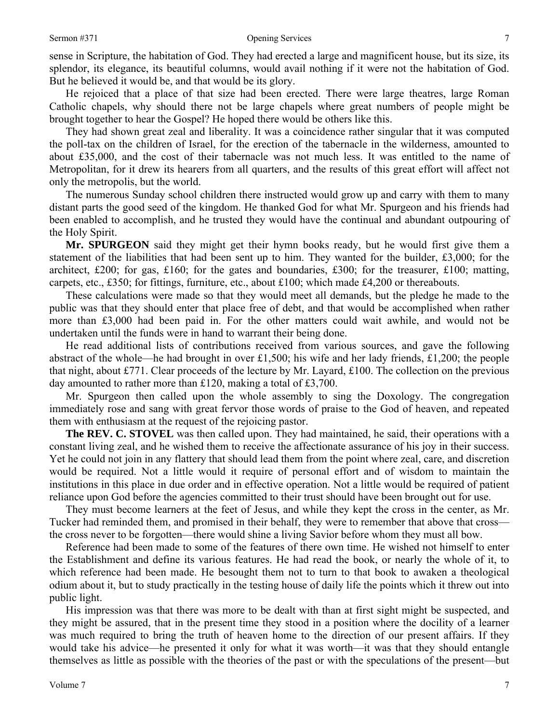sense in Scripture, the habitation of God. They had erected a large and magnificent house, but its size, its splendor, its elegance, its beautiful columns, would avail nothing if it were not the habitation of God. But he believed it would be, and that would be its glory.

He rejoiced that a place of that size had been erected. There were large theatres, large Roman Catholic chapels, why should there not be large chapels where great numbers of people might be brought together to hear the Gospel? He hoped there would be others like this.

They had shown great zeal and liberality. It was a coincidence rather singular that it was computed the poll-tax on the children of Israel, for the erection of the tabernacle in the wilderness, amounted to about £35,000, and the cost of their tabernacle was not much less. It was entitled to the name of Metropolitan, for it drew its hearers from all quarters, and the results of this great effort will affect not only the metropolis, but the world.

The numerous Sunday school children there instructed would grow up and carry with them to many distant parts the good seed of the kingdom. He thanked God for what Mr. Spurgeon and his friends had been enabled to accomplish, and he trusted they would have the continual and abundant outpouring of the Holy Spirit.

**Mr. SPURGEON** said they might get their hymn books ready, but he would first give them a statement of the liabilities that had been sent up to him. They wanted for the builder, £3,000; for the architect, £200; for gas, £160; for the gates and boundaries, £300; for the treasurer, £100; matting, carpets, etc., £350; for fittings, furniture, etc., about £100; which made £4,200 or thereabouts.

These calculations were made so that they would meet all demands, but the pledge he made to the public was that they should enter that place free of debt, and that would be accomplished when rather more than £3,000 had been paid in. For the other matters could wait awhile, and would not be undertaken until the funds were in hand to warrant their being done.

He read additional lists of contributions received from various sources, and gave the following abstract of the whole—he had brought in over £1,500; his wife and her lady friends, £1,200; the people that night, about £771. Clear proceeds of the lecture by Mr. Layard, £100. The collection on the previous day amounted to rather more than £120, making a total of £3,700.

Mr. Spurgeon then called upon the whole assembly to sing the Doxology. The congregation immediately rose and sang with great fervor those words of praise to the God of heaven, and repeated them with enthusiasm at the request of the rejoicing pastor.

**The REV. C. STOVEL** was then called upon. They had maintained, he said, their operations with a constant living zeal, and he wished them to receive the affectionate assurance of his joy in their success. Yet he could not join in any flattery that should lead them from the point where zeal, care, and discretion would be required. Not a little would it require of personal effort and of wisdom to maintain the institutions in this place in due order and in effective operation. Not a little would be required of patient reliance upon God before the agencies committed to their trust should have been brought out for use.

They must become learners at the feet of Jesus, and while they kept the cross in the center, as Mr. Tucker had reminded them, and promised in their behalf, they were to remember that above that cross the cross never to be forgotten—there would shine a living Savior before whom they must all bow.

Reference had been made to some of the features of there own time. He wished not himself to enter the Establishment and define its various features. He had read the book, or nearly the whole of it, to which reference had been made. He besought them not to turn to that book to awaken a theological odium about it, but to study practically in the testing house of daily life the points which it threw out into public light.

His impression was that there was more to be dealt with than at first sight might be suspected, and they might be assured, that in the present time they stood in a position where the docility of a learner was much required to bring the truth of heaven home to the direction of our present affairs. If they would take his advice—he presented it only for what it was worth—it was that they should entangle themselves as little as possible with the theories of the past or with the speculations of the present—but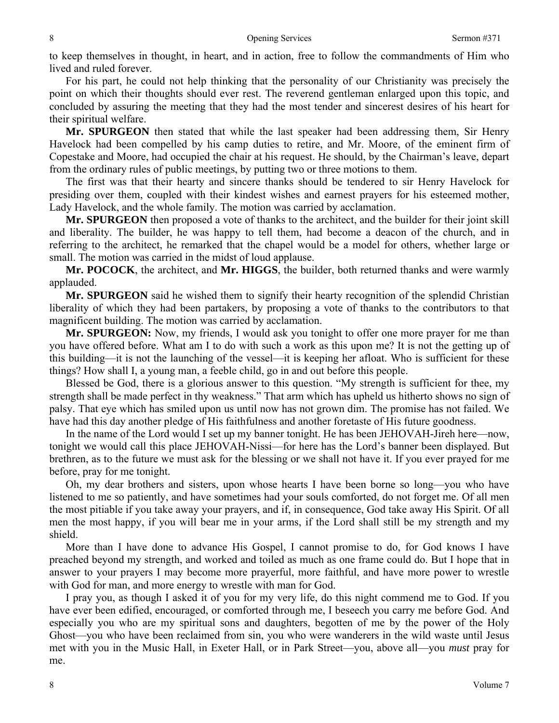to keep themselves in thought, in heart, and in action, free to follow the commandments of Him who lived and ruled forever.

For his part, he could not help thinking that the personality of our Christianity was precisely the point on which their thoughts should ever rest. The reverend gentleman enlarged upon this topic, and concluded by assuring the meeting that they had the most tender and sincerest desires of his heart for their spiritual welfare.

**Mr. SPURGEON** then stated that while the last speaker had been addressing them, Sir Henry Havelock had been compelled by his camp duties to retire, and Mr. Moore, of the eminent firm of Copestake and Moore, had occupied the chair at his request. He should, by the Chairman's leave, depart from the ordinary rules of public meetings, by putting two or three motions to them.

The first was that their hearty and sincere thanks should be tendered to sir Henry Havelock for presiding over them, coupled with their kindest wishes and earnest prayers for his esteemed mother, Lady Havelock, and the whole family. The motion was carried by acclamation.

**Mr. SPURGEON** then proposed a vote of thanks to the architect, and the builder for their joint skill and liberality. The builder, he was happy to tell them, had become a deacon of the church, and in referring to the architect, he remarked that the chapel would be a model for others, whether large or small. The motion was carried in the midst of loud applause.

**Mr. POCOCK**, the architect, and **Mr. HIGGS**, the builder, both returned thanks and were warmly applauded.

**Mr. SPURGEON** said he wished them to signify their hearty recognition of the splendid Christian liberality of which they had been partakers, by proposing a vote of thanks to the contributors to that magnificent building. The motion was carried by acclamation.

**Mr. SPURGEON:** Now, my friends, I would ask you tonight to offer one more prayer for me than you have offered before. What am I to do with such a work as this upon me? It is not the getting up of this building—it is not the launching of the vessel—it is keeping her afloat. Who is sufficient for these things? How shall I, a young man, a feeble child, go in and out before this people.

Blessed be God, there is a glorious answer to this question. "My strength is sufficient for thee, my strength shall be made perfect in thy weakness." That arm which has upheld us hitherto shows no sign of palsy. That eye which has smiled upon us until now has not grown dim. The promise has not failed. We have had this day another pledge of His faithfulness and another foretaste of His future goodness.

In the name of the Lord would I set up my banner tonight. He has been JEHOVAH-Jireh here—now, tonight we would call this place JEHOVAH-Nissi—for here has the Lord's banner been displayed. But brethren, as to the future we must ask for the blessing or we shall not have it. If you ever prayed for me before, pray for me tonight.

Oh, my dear brothers and sisters, upon whose hearts I have been borne so long—you who have listened to me so patiently, and have sometimes had your souls comforted, do not forget me. Of all men the most pitiable if you take away your prayers, and if, in consequence, God take away His Spirit. Of all men the most happy, if you will bear me in your arms, if the Lord shall still be my strength and my shield.

More than I have done to advance His Gospel, I cannot promise to do, for God knows I have preached beyond my strength, and worked and toiled as much as one frame could do. But I hope that in answer to your prayers I may become more prayerful, more faithful, and have more power to wrestle with God for man, and more energy to wrestle with man for God.

I pray you, as though I asked it of you for my very life, do this night commend me to God. If you have ever been edified, encouraged, or comforted through me, I beseech you carry me before God. And especially you who are my spiritual sons and daughters, begotten of me by the power of the Holy Ghost—you who have been reclaimed from sin, you who were wanderers in the wild waste until Jesus met with you in the Music Hall, in Exeter Hall, or in Park Street—you, above all—you *must* pray for me.